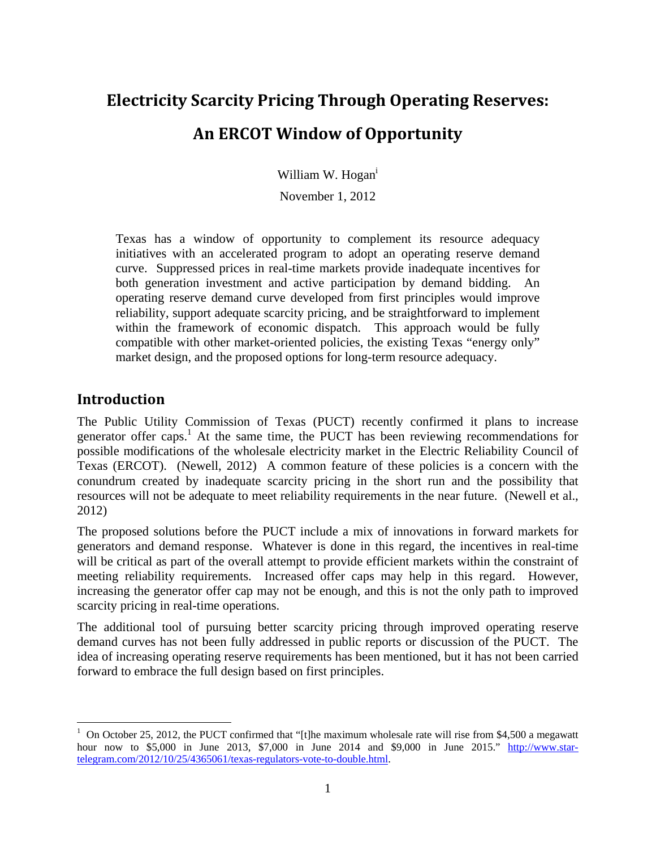# **Electricity Scarcity Pricing Through Operating Reserves: An ERCOT Window of Opportunity**

William W. Hogan<sup>i</sup>

November 1, 2012

Texas has a window of opportunity to complement its resource adequacy initiatives with an accelerated program to adopt an operating reserve demand curve. Suppressed prices in real-time markets provide inadequate incentives for both generation investment and active participation by demand bidding. An operating reserve demand curve developed from first principles would improve reliability, support adequate scarcity pricing, and be straightforward to implement within the framework of economic dispatch. This approach would be fully compatible with other market-oriented policies, the existing Texas "energy only" market design, and the proposed options for long-term resource adequacy.

#### **Introduction**

 $\overline{a}$ 

The Public Utility Commission of Texas (PUCT) recently confirmed it plans to increase generator offer caps.<sup>1</sup> At the same time, the PUCT has been reviewing recommendations for possible modifications of the wholesale electricity market in the Electric Reliability Council of Texas (ERCOT). (Newell, 2012) A common feature of these policies is a concern with the conundrum created by inadequate scarcity pricing in the short run and the possibility that resources will not be adequate to meet reliability requirements in the near future. (Newell et al., 2012)

The proposed solutions before the PUCT include a mix of innovations in forward markets for generators and demand response. Whatever is done in this regard, the incentives in real-time will be critical as part of the overall attempt to provide efficient markets within the constraint of meeting reliability requirements. Increased offer caps may help in this regard. However, increasing the generator offer cap may not be enough, and this is not the only path to improved scarcity pricing in real-time operations.

The additional tool of pursuing better scarcity pricing through improved operating reserve demand curves has not been fully addressed in public reports or discussion of the PUCT. The idea of increasing operating reserve requirements has been mentioned, but it has not been carried forward to embrace the full design based on first principles.

<sup>&</sup>lt;sup>1</sup> On October 25, 2012, the PUCT confirmed that "[t]he maximum wholesale rate will rise from \$4,500 a megawatt hour now to \$5,000 in June 2013, \$7,000 in June 2014 and \$9,000 in June 2015." http://www.startelegram.com/2012/10/25/4365061/texas-regulators-vote-to-double.html.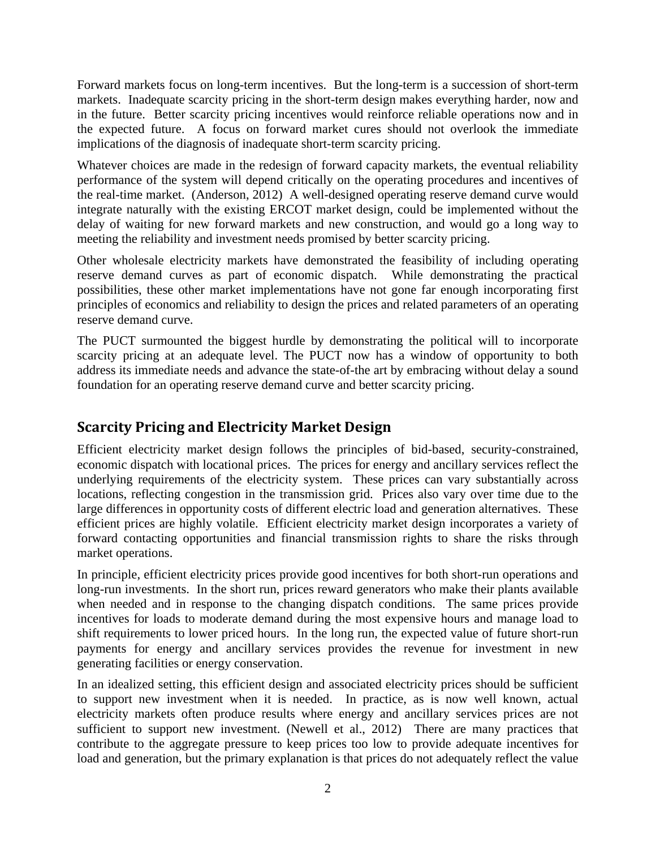Forward markets focus on long-term incentives. But the long-term is a succession of short-term markets. Inadequate scarcity pricing in the short-term design makes everything harder, now and in the future. Better scarcity pricing incentives would reinforce reliable operations now and in the expected future. A focus on forward market cures should not overlook the immediate implications of the diagnosis of inadequate short-term scarcity pricing.

Whatever choices are made in the redesign of forward capacity markets, the eventual reliability performance of the system will depend critically on the operating procedures and incentives of the real-time market. (Anderson, 2012) A well-designed operating reserve demand curve would integrate naturally with the existing ERCOT market design, could be implemented without the delay of waiting for new forward markets and new construction, and would go a long way to meeting the reliability and investment needs promised by better scarcity pricing.

Other wholesale electricity markets have demonstrated the feasibility of including operating reserve demand curves as part of economic dispatch. While demonstrating the practical possibilities, these other market implementations have not gone far enough incorporating first principles of economics and reliability to design the prices and related parameters of an operating reserve demand curve.

The PUCT surmounted the biggest hurdle by demonstrating the political will to incorporate scarcity pricing at an adequate level. The PUCT now has a window of opportunity to both address its immediate needs and advance the state-of-the art by embracing without delay a sound foundation for an operating reserve demand curve and better scarcity pricing.

## **Scarcity Pricing and Electricity Market Design**

Efficient electricity market design follows the principles of bid-based, security-constrained, economic dispatch with locational prices. The prices for energy and ancillary services reflect the underlying requirements of the electricity system. These prices can vary substantially across locations, reflecting congestion in the transmission grid. Prices also vary over time due to the large differences in opportunity costs of different electric load and generation alternatives. These efficient prices are highly volatile. Efficient electricity market design incorporates a variety of forward contacting opportunities and financial transmission rights to share the risks through market operations.

In principle, efficient electricity prices provide good incentives for both short-run operations and long-run investments. In the short run, prices reward generators who make their plants available when needed and in response to the changing dispatch conditions. The same prices provide incentives for loads to moderate demand during the most expensive hours and manage load to shift requirements to lower priced hours. In the long run, the expected value of future short-run payments for energy and ancillary services provides the revenue for investment in new generating facilities or energy conservation.

In an idealized setting, this efficient design and associated electricity prices should be sufficient to support new investment when it is needed. In practice, as is now well known, actual electricity markets often produce results where energy and ancillary services prices are not sufficient to support new investment. (Newell et al., 2012) There are many practices that contribute to the aggregate pressure to keep prices too low to provide adequate incentives for load and generation, but the primary explanation is that prices do not adequately reflect the value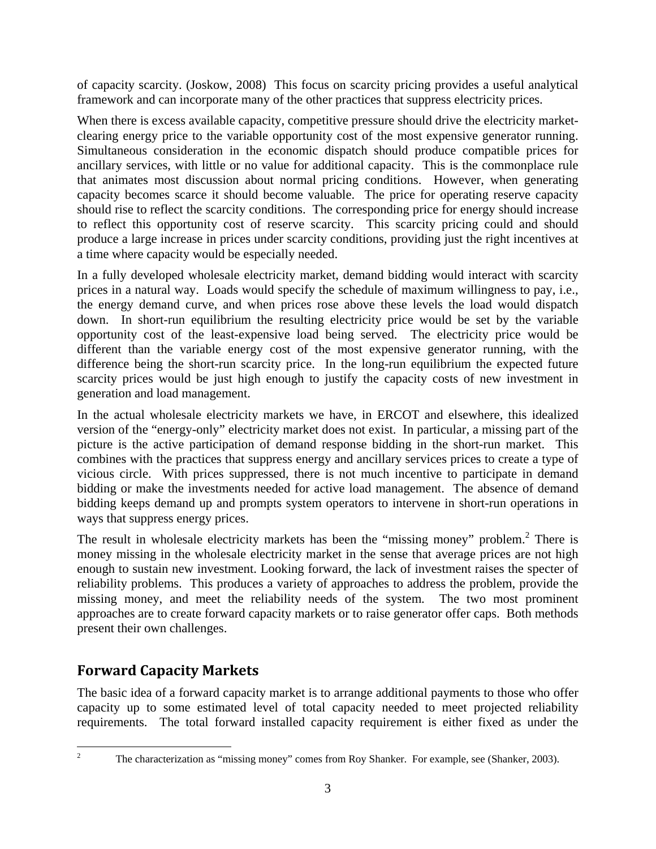of capacity scarcity. (Joskow, 2008) This focus on scarcity pricing provides a useful analytical framework and can incorporate many of the other practices that suppress electricity prices.

When there is excess available capacity, competitive pressure should drive the electricity marketclearing energy price to the variable opportunity cost of the most expensive generator running. Simultaneous consideration in the economic dispatch should produce compatible prices for ancillary services, with little or no value for additional capacity. This is the commonplace rule that animates most discussion about normal pricing conditions. However, when generating capacity becomes scarce it should become valuable. The price for operating reserve capacity should rise to reflect the scarcity conditions. The corresponding price for energy should increase to reflect this opportunity cost of reserve scarcity. This scarcity pricing could and should produce a large increase in prices under scarcity conditions, providing just the right incentives at a time where capacity would be especially needed.

In a fully developed wholesale electricity market, demand bidding would interact with scarcity prices in a natural way. Loads would specify the schedule of maximum willingness to pay, i.e., the energy demand curve, and when prices rose above these levels the load would dispatch down. In short-run equilibrium the resulting electricity price would be set by the variable opportunity cost of the least-expensive load being served. The electricity price would be different than the variable energy cost of the most expensive generator running, with the difference being the short-run scarcity price. In the long-run equilibrium the expected future scarcity prices would be just high enough to justify the capacity costs of new investment in generation and load management.

In the actual wholesale electricity markets we have, in ERCOT and elsewhere, this idealized version of the "energy-only" electricity market does not exist. In particular, a missing part of the picture is the active participation of demand response bidding in the short-run market. This combines with the practices that suppress energy and ancillary services prices to create a type of vicious circle. With prices suppressed, there is not much incentive to participate in demand bidding or make the investments needed for active load management. The absence of demand bidding keeps demand up and prompts system operators to intervene in short-run operations in ways that suppress energy prices.

The result in wholesale electricity markets has been the "missing money" problem. $2$  There is money missing in the wholesale electricity market in the sense that average prices are not high enough to sustain new investment. Looking forward, the lack of investment raises the specter of reliability problems. This produces a variety of approaches to address the problem, provide the missing money, and meet the reliability needs of the system. The two most prominent approaches are to create forward capacity markets or to raise generator offer caps. Both methods present their own challenges.

## **Forward Capacity Markets**

The basic idea of a forward capacity market is to arrange additional payments to those who offer capacity up to some estimated level of total capacity needed to meet projected reliability requirements. The total forward installed capacity requirement is either fixed as under the

 $\frac{1}{2}$ 

The characterization as "missing money" comes from Roy Shanker. For example, see (Shanker, 2003).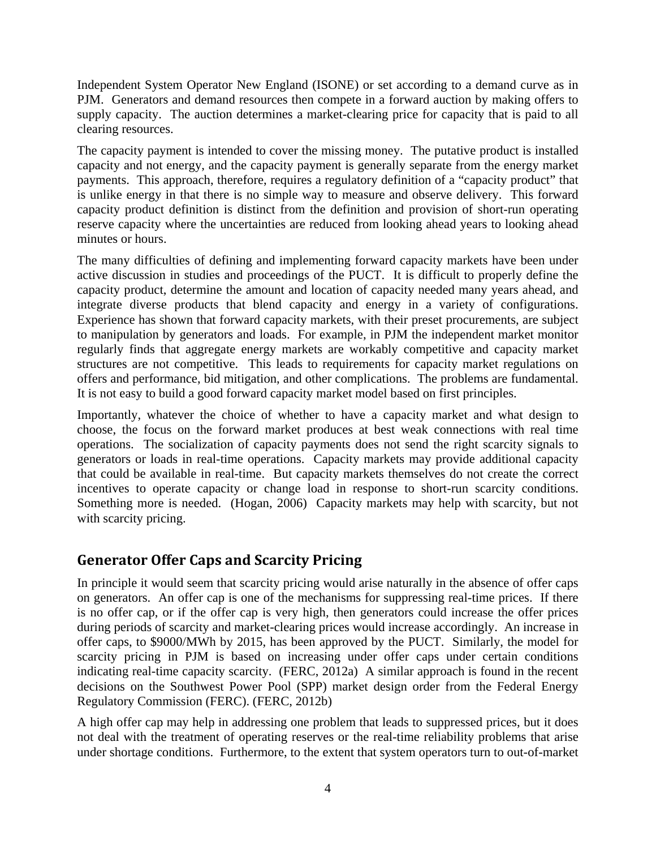Independent System Operator New England (ISONE) or set according to a demand curve as in PJM. Generators and demand resources then compete in a forward auction by making offers to supply capacity. The auction determines a market-clearing price for capacity that is paid to all clearing resources.

The capacity payment is intended to cover the missing money. The putative product is installed capacity and not energy, and the capacity payment is generally separate from the energy market payments. This approach, therefore, requires a regulatory definition of a "capacity product" that is unlike energy in that there is no simple way to measure and observe delivery. This forward capacity product definition is distinct from the definition and provision of short-run operating reserve capacity where the uncertainties are reduced from looking ahead years to looking ahead minutes or hours.

The many difficulties of defining and implementing forward capacity markets have been under active discussion in studies and proceedings of the PUCT. It is difficult to properly define the capacity product, determine the amount and location of capacity needed many years ahead, and integrate diverse products that blend capacity and energy in a variety of configurations. Experience has shown that forward capacity markets, with their preset procurements, are subject to manipulation by generators and loads. For example, in PJM the independent market monitor regularly finds that aggregate energy markets are workably competitive and capacity market structures are not competitive. This leads to requirements for capacity market regulations on offers and performance, bid mitigation, and other complications. The problems are fundamental. It is not easy to build a good forward capacity market model based on first principles.

Importantly, whatever the choice of whether to have a capacity market and what design to choose, the focus on the forward market produces at best weak connections with real time operations. The socialization of capacity payments does not send the right scarcity signals to generators or loads in real-time operations. Capacity markets may provide additional capacity that could be available in real-time. But capacity markets themselves do not create the correct incentives to operate capacity or change load in response to short-run scarcity conditions. Something more is needed. (Hogan, 2006) Capacity markets may help with scarcity, but not with scarcity pricing.

## **Generator Offer Caps and Scarcity Pricing**

In principle it would seem that scarcity pricing would arise naturally in the absence of offer caps on generators. An offer cap is one of the mechanisms for suppressing real-time prices. If there is no offer cap, or if the offer cap is very high, then generators could increase the offer prices during periods of scarcity and market-clearing prices would increase accordingly. An increase in offer caps, to \$9000/MWh by 2015, has been approved by the PUCT. Similarly, the model for scarcity pricing in PJM is based on increasing under offer caps under certain conditions indicating real-time capacity scarcity. (FERC, 2012a) A similar approach is found in the recent decisions on the Southwest Power Pool (SPP) market design order from the Federal Energy Regulatory Commission (FERC). (FERC, 2012b)

A high offer cap may help in addressing one problem that leads to suppressed prices, but it does not deal with the treatment of operating reserves or the real-time reliability problems that arise under shortage conditions. Furthermore, to the extent that system operators turn to out-of-market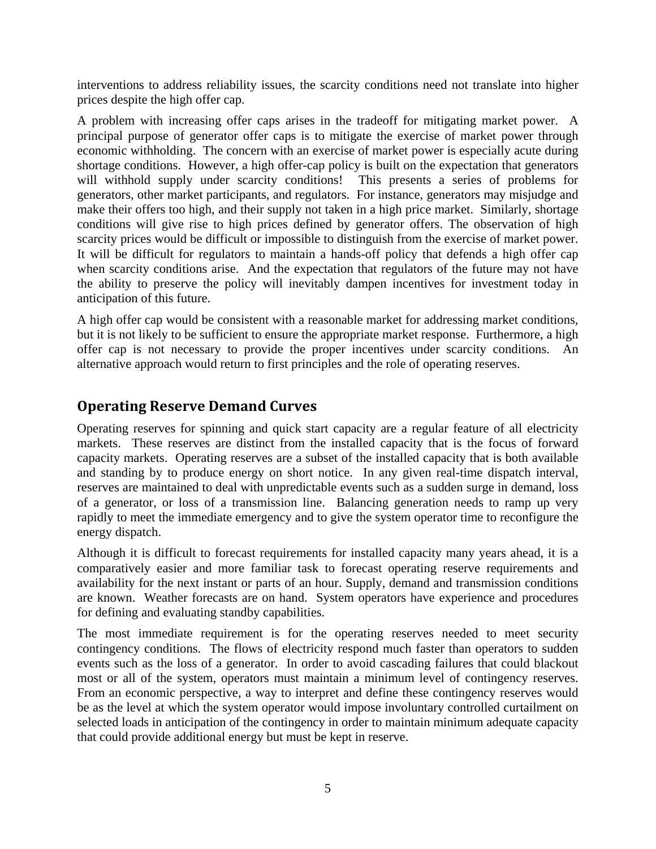interventions to address reliability issues, the scarcity conditions need not translate into higher prices despite the high offer cap.

A problem with increasing offer caps arises in the tradeoff for mitigating market power. A principal purpose of generator offer caps is to mitigate the exercise of market power through economic withholding. The concern with an exercise of market power is especially acute during shortage conditions. However, a high offer-cap policy is built on the expectation that generators will withhold supply under scarcity conditions! This presents a series of problems for generators, other market participants, and regulators. For instance, generators may misjudge and make their offers too high, and their supply not taken in a high price market. Similarly, shortage conditions will give rise to high prices defined by generator offers. The observation of high scarcity prices would be difficult or impossible to distinguish from the exercise of market power. It will be difficult for regulators to maintain a hands-off policy that defends a high offer cap when scarcity conditions arise. And the expectation that regulators of the future may not have the ability to preserve the policy will inevitably dampen incentives for investment today in anticipation of this future.

A high offer cap would be consistent with a reasonable market for addressing market conditions, but it is not likely to be sufficient to ensure the appropriate market response. Furthermore, a high offer cap is not necessary to provide the proper incentives under scarcity conditions. An alternative approach would return to first principles and the role of operating reserves.

## **Operating Reserve Demand Curves**

Operating reserves for spinning and quick start capacity are a regular feature of all electricity markets. These reserves are distinct from the installed capacity that is the focus of forward capacity markets. Operating reserves are a subset of the installed capacity that is both available and standing by to produce energy on short notice. In any given real-time dispatch interval, reserves are maintained to deal with unpredictable events such as a sudden surge in demand, loss of a generator, or loss of a transmission line. Balancing generation needs to ramp up very rapidly to meet the immediate emergency and to give the system operator time to reconfigure the energy dispatch.

Although it is difficult to forecast requirements for installed capacity many years ahead, it is a comparatively easier and more familiar task to forecast operating reserve requirements and availability for the next instant or parts of an hour. Supply, demand and transmission conditions are known. Weather forecasts are on hand. System operators have experience and procedures for defining and evaluating standby capabilities.

The most immediate requirement is for the operating reserves needed to meet security contingency conditions. The flows of electricity respond much faster than operators to sudden events such as the loss of a generator. In order to avoid cascading failures that could blackout most or all of the system, operators must maintain a minimum level of contingency reserves. From an economic perspective, a way to interpret and define these contingency reserves would be as the level at which the system operator would impose involuntary controlled curtailment on selected loads in anticipation of the contingency in order to maintain minimum adequate capacity that could provide additional energy but must be kept in reserve.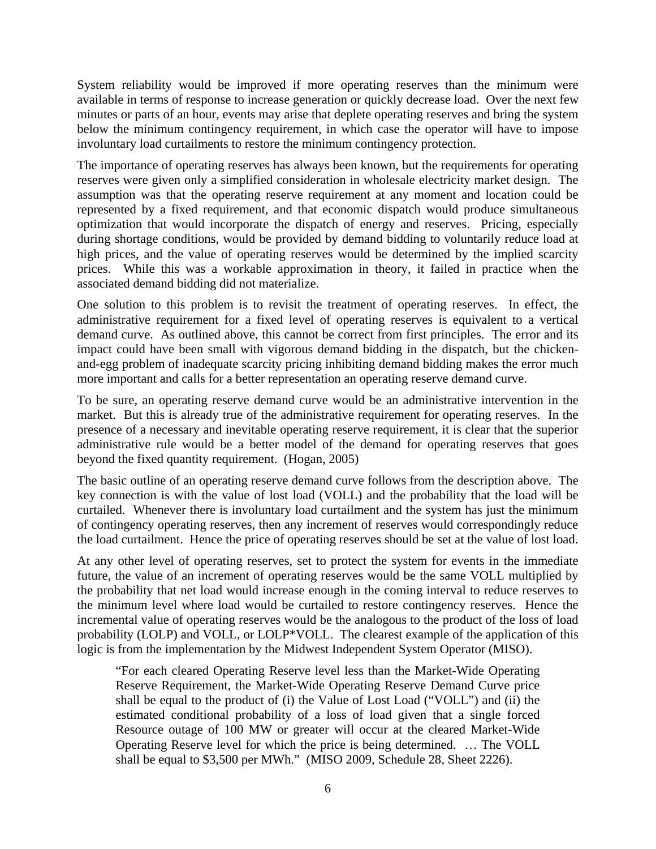System reliability would be improved if more operating reserves than the minimum were available in terms of response to increase generation or quickly decrease load. Over the next few minutes or parts of an hour, events may arise that deplete operating reserves and bring the system below the minimum contingency requirement, in which case the operator will have to impose involuntary load curtailments to restore the minimum contingency protection.

The importance of operating reserves has always been known, but the requirements for operating reserves were given only a simplified consideration in wholesale electricity market design. The assumption was that the operating reserve requirement at any moment and location could be represented by a fixed requirement, and that economic dispatch would produce simultaneous optimization that would incorporate the dispatch of energy and reserves. Pricing, especially during shortage conditions, would be provided by demand bidding to voluntarily reduce load at high prices, and the value of operating reserves would be determined by the implied scarcity prices. While this was a workable approximation in theory, it failed in practice when the associated demand bidding did not materialize.

One solution to this problem is to revisit the treatment of operating reserves. In effect, the administrative requirement for a fixed level of operating reserves is equivalent to a vertical demand curve. As outlined above, this cannot be correct from first principles. The error and its impact could have been small with vigorous demand bidding in the dispatch, but the chickenand-egg problem of inadequate scarcity pricing inhibiting demand bidding makes the error much more important and calls for a better representation an operating reserve demand curve.

To be sure, an operating reserve demand curve would be an administrative intervention in the market. But this is already true of the administrative requirement for operating reserves. In the presence of a necessary and inevitable operating reserve requirement, it is clear that the superior administrative rule would be a better model of the demand for operating reserves that goes beyond the fixed quantity requirement. (Hogan, 2005)

The basic outline of an operating reserve demand curve follows from the description above. The key connection is with the value of lost load (VOLL) and the probability that the load will be curtailed. Whenever there is involuntary load curtailment and the system has just the minimum of contingency operating reserves, then any increment of reserves would correspondingly reduce the load curtailment. Hence the price of operating reserves should be set at the value of lost load.

At any other level of operating reserves, set to protect the system for events in the immediate future, the value of an increment of operating reserves would be the same VOLL multiplied by the probability that net load would increase enough in the coming interval to reduce reserves to the minimum level where load would be curtailed to restore contingency reserves. Hence the incremental value of operating reserves would be the analogous to the product of the loss of load probability (LOLP) and VOLL, or LOLP\*VOLL. The clearest example of the application of this logic is from the implementation by the Midwest Independent System Operator (MISO).

"For each cleared Operating Reserve level less than the Market-Wide Operating Reserve Requirement, the Market-Wide Operating Reserve Demand Curve price shall be equal to the product of (i) the Value of Lost Load ("VOLL") and (ii) the estimated conditional probability of a loss of load given that a single forced Resource outage of 100 MW or greater will occur at the cleared Market-Wide Operating Reserve level for which the price is being determined. … The VOLL shall be equal to \$3,500 per MWh." (MISO 2009, Schedule 28, Sheet 2226).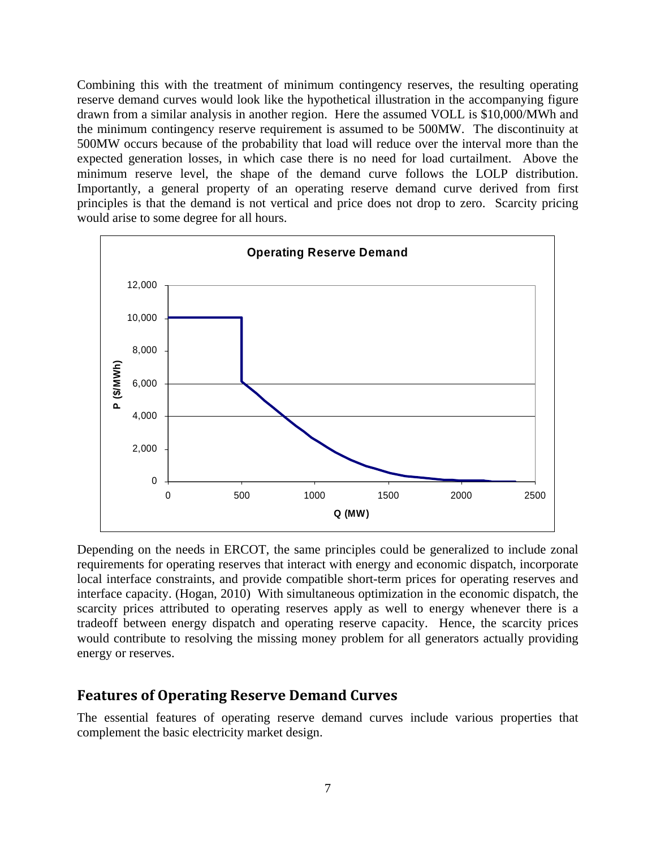Combining this with the treatment of minimum contingency reserves, the resulting operating reserve demand curves would look like the hypothetical illustration in the accompanying figure drawn from a similar analysis in another region. Here the assumed VOLL is \$10,000/MWh and the minimum contingency reserve requirement is assumed to be 500MW. The discontinuity at 500MW occurs because of the probability that load will reduce over the interval more than the expected generation losses, in which case there is no need for load curtailment. Above the minimum reserve level, the shape of the demand curve follows the LOLP distribution. Importantly, a general property of an operating reserve demand curve derived from first principles is that the demand is not vertical and price does not drop to zero. Scarcity pricing would arise to some degree for all hours.



Depending on the needs in ERCOT, the same principles could be generalized to include zonal requirements for operating reserves that interact with energy and economic dispatch, incorporate local interface constraints, and provide compatible short-term prices for operating reserves and interface capacity. (Hogan, 2010) With simultaneous optimization in the economic dispatch, the scarcity prices attributed to operating reserves apply as well to energy whenever there is a tradeoff between energy dispatch and operating reserve capacity. Hence, the scarcity prices would contribute to resolving the missing money problem for all generators actually providing energy or reserves.

#### **Features of Operating Reserve Demand Curves**

The essential features of operating reserve demand curves include various properties that complement the basic electricity market design.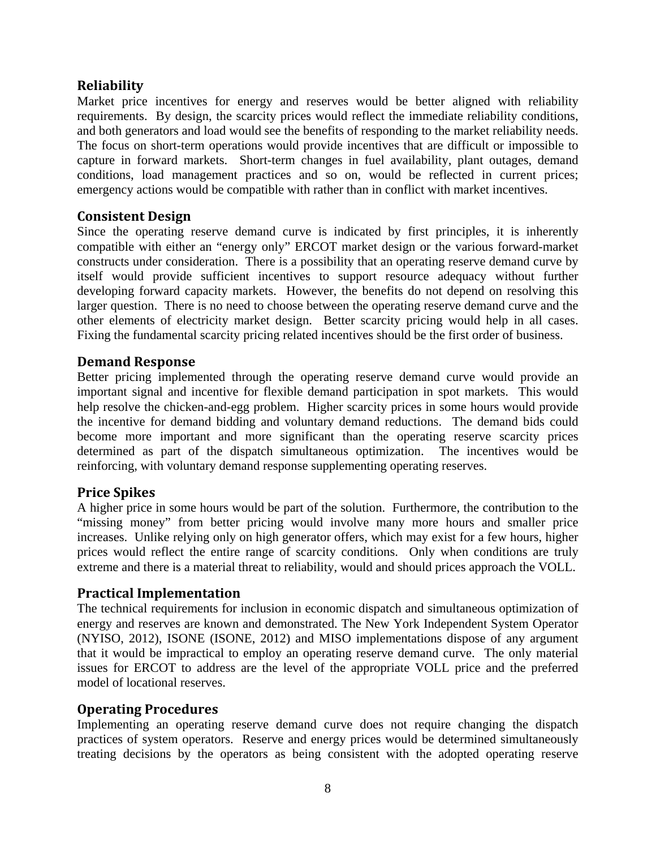#### **Reliability**

Market price incentives for energy and reserves would be better aligned with reliability requirements. By design, the scarcity prices would reflect the immediate reliability conditions, and both generators and load would see the benefits of responding to the market reliability needs. The focus on short-term operations would provide incentives that are difficult or impossible to capture in forward markets. Short-term changes in fuel availability, plant outages, demand conditions, load management practices and so on, would be reflected in current prices; emergency actions would be compatible with rather than in conflict with market incentives.

#### **Consistent Design**

Since the operating reserve demand curve is indicated by first principles, it is inherently compatible with either an "energy only" ERCOT market design or the various forward-market constructs under consideration. There is a possibility that an operating reserve demand curve by itself would provide sufficient incentives to support resource adequacy without further developing forward capacity markets. However, the benefits do not depend on resolving this larger question. There is no need to choose between the operating reserve demand curve and the other elements of electricity market design. Better scarcity pricing would help in all cases. Fixing the fundamental scarcity pricing related incentives should be the first order of business.

#### **Demand Response**

Better pricing implemented through the operating reserve demand curve would provide an important signal and incentive for flexible demand participation in spot markets. This would help resolve the chicken-and-egg problem. Higher scarcity prices in some hours would provide the incentive for demand bidding and voluntary demand reductions. The demand bids could become more important and more significant than the operating reserve scarcity prices determined as part of the dispatch simultaneous optimization. The incentives would be reinforcing, with voluntary demand response supplementing operating reserves.

#### **Price Spikes**

A higher price in some hours would be part of the solution. Furthermore, the contribution to the "missing money" from better pricing would involve many more hours and smaller price increases. Unlike relying only on high generator offers, which may exist for a few hours, higher prices would reflect the entire range of scarcity conditions. Only when conditions are truly extreme and there is a material threat to reliability, would and should prices approach the VOLL.

#### **Practical Implementation**

The technical requirements for inclusion in economic dispatch and simultaneous optimization of energy and reserves are known and demonstrated. The New York Independent System Operator (NYISO, 2012), ISONE (ISONE, 2012) and MISO implementations dispose of any argument that it would be impractical to employ an operating reserve demand curve. The only material issues for ERCOT to address are the level of the appropriate VOLL price and the preferred model of locational reserves.

#### **Operating Procedures**

Implementing an operating reserve demand curve does not require changing the dispatch practices of system operators. Reserve and energy prices would be determined simultaneously treating decisions by the operators as being consistent with the adopted operating reserve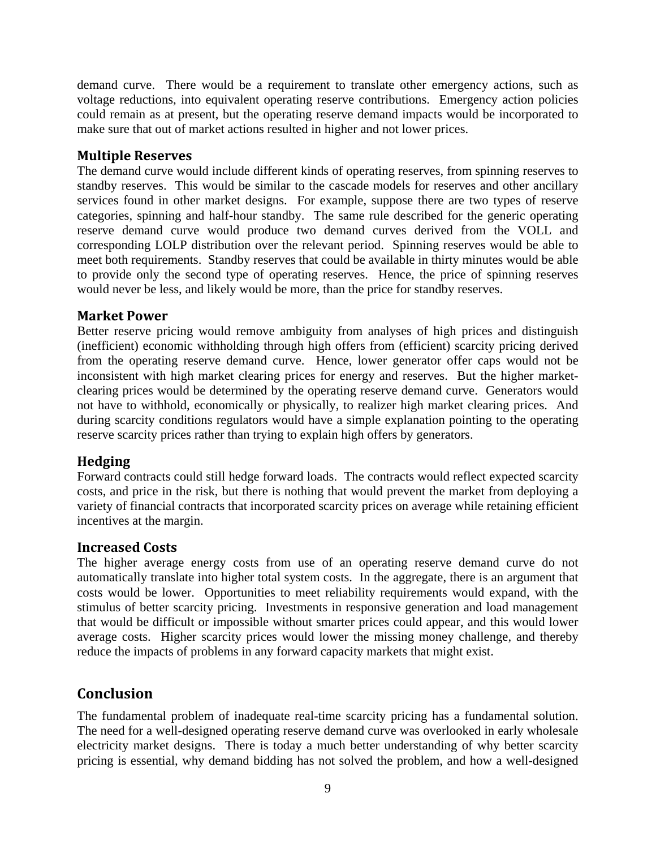demand curve. There would be a requirement to translate other emergency actions, such as voltage reductions, into equivalent operating reserve contributions. Emergency action policies could remain as at present, but the operating reserve demand impacts would be incorporated to make sure that out of market actions resulted in higher and not lower prices.

#### **Multiple Reserves**

The demand curve would include different kinds of operating reserves, from spinning reserves to standby reserves. This would be similar to the cascade models for reserves and other ancillary services found in other market designs. For example, suppose there are two types of reserve categories, spinning and half-hour standby. The same rule described for the generic operating reserve demand curve would produce two demand curves derived from the VOLL and corresponding LOLP distribution over the relevant period. Spinning reserves would be able to meet both requirements. Standby reserves that could be available in thirty minutes would be able to provide only the second type of operating reserves. Hence, the price of spinning reserves would never be less, and likely would be more, than the price for standby reserves.

#### **Market Power**

Better reserve pricing would remove ambiguity from analyses of high prices and distinguish (inefficient) economic withholding through high offers from (efficient) scarcity pricing derived from the operating reserve demand curve. Hence, lower generator offer caps would not be inconsistent with high market clearing prices for energy and reserves. But the higher marketclearing prices would be determined by the operating reserve demand curve. Generators would not have to withhold, economically or physically, to realizer high market clearing prices. And during scarcity conditions regulators would have a simple explanation pointing to the operating reserve scarcity prices rather than trying to explain high offers by generators.

#### **Hedging**

Forward contracts could still hedge forward loads. The contracts would reflect expected scarcity costs, and price in the risk, but there is nothing that would prevent the market from deploying a variety of financial contracts that incorporated scarcity prices on average while retaining efficient incentives at the margin.

#### **Increased Costs**

The higher average energy costs from use of an operating reserve demand curve do not automatically translate into higher total system costs. In the aggregate, there is an argument that costs would be lower. Opportunities to meet reliability requirements would expand, with the stimulus of better scarcity pricing. Investments in responsive generation and load management that would be difficult or impossible without smarter prices could appear, and this would lower average costs. Higher scarcity prices would lower the missing money challenge, and thereby reduce the impacts of problems in any forward capacity markets that might exist.

## **Conclusion**

The fundamental problem of inadequate real-time scarcity pricing has a fundamental solution. The need for a well-designed operating reserve demand curve was overlooked in early wholesale electricity market designs. There is today a much better understanding of why better scarcity pricing is essential, why demand bidding has not solved the problem, and how a well-designed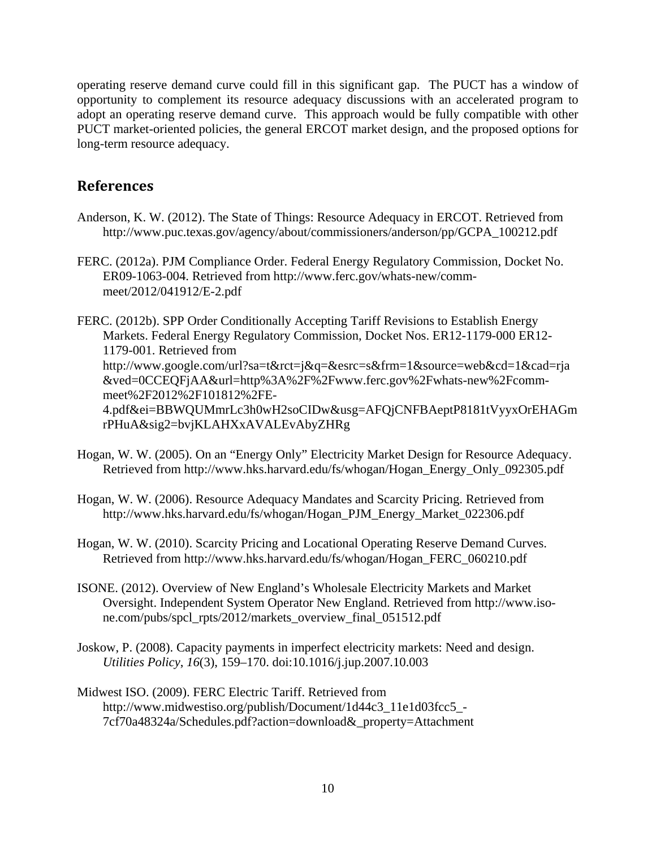operating reserve demand curve could fill in this significant gap. The PUCT has a window of opportunity to complement its resource adequacy discussions with an accelerated program to adopt an operating reserve demand curve. This approach would be fully compatible with other PUCT market-oriented policies, the general ERCOT market design, and the proposed options for long-term resource adequacy.

### **References**

- Anderson, K. W. (2012). The State of Things: Resource Adequacy in ERCOT. Retrieved from http://www.puc.texas.gov/agency/about/commissioners/anderson/pp/GCPA\_100212.pdf
- FERC. (2012a). PJM Compliance Order. Federal Energy Regulatory Commission, Docket No. ER09-1063-004. Retrieved from http://www.ferc.gov/whats-new/commmeet/2012/041912/E-2.pdf

FERC. (2012b). SPP Order Conditionally Accepting Tariff Revisions to Establish Energy Markets. Federal Energy Regulatory Commission, Docket Nos. ER12-1179-000 ER12- 1179-001. Retrieved from http://www.google.com/url?sa=t&rct=j&q=&esrc=s&frm=1&source=web&cd=1&cad=rja &ved=0CCEQFjAA&url=http%3A%2F%2Fwww.ferc.gov%2Fwhats-new%2Fcommmeet%2F2012%2F101812%2FE-4.pdf&ei=BBWQUMmrLc3h0wH2soCIDw&usg=AFQjCNFBAeptP8181tVyyxOrEHAGm rPHuA&sig2=bvjKLAHXxAVALEvAbyZHRg

- Hogan, W. W. (2005). On an "Energy Only" Electricity Market Design for Resource Adequacy. Retrieved from http://www.hks.harvard.edu/fs/whogan/Hogan\_Energy\_Only\_092305.pdf
- Hogan, W. W. (2006). Resource Adequacy Mandates and Scarcity Pricing. Retrieved from http://www.hks.harvard.edu/fs/whogan/Hogan\_PJM\_Energy\_Market\_022306.pdf
- Hogan, W. W. (2010). Scarcity Pricing and Locational Operating Reserve Demand Curves. Retrieved from http://www.hks.harvard.edu/fs/whogan/Hogan\_FERC\_060210.pdf
- ISONE. (2012). Overview of New England's Wholesale Electricity Markets and Market Oversight. Independent System Operator New England. Retrieved from http://www.isone.com/pubs/spcl\_rpts/2012/markets\_overview\_final\_051512.pdf
- Joskow, P. (2008). Capacity payments in imperfect electricity markets: Need and design. *Utilities Policy*, *16*(3), 159–170. doi:10.1016/j.jup.2007.10.003
- Midwest ISO. (2009). FERC Electric Tariff. Retrieved from http://www.midwestiso.org/publish/Document/1d44c3\_11e1d03fcc5\_- 7cf70a48324a/Schedules.pdf?action=download&\_property=Attachment